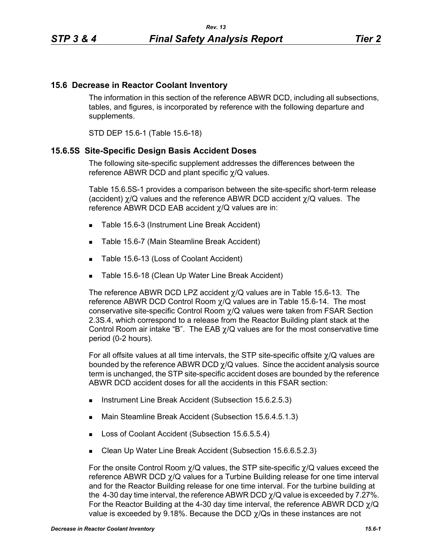## **15.6 Decrease in Reactor Coolant Inventory**

The information in this section of the reference ABWR DCD, including all subsections, tables, and figures, is incorporated by reference with the following departure and supplements.

STD DEP 15.6-1 (Table 15.6-18)

### **15.6.5S Site-Specific Design Basis Accident Doses**

The following site-specific supplement addresses the differences between the reference ABWR DCD and plant specific χ/Q values.

Table 15.6.5S-1 provides a comparison between the site-specific short-term release (accident) χ/Q values and the reference ABWR DCD accident χ/Q values. The reference ABWR DCD EAB accident χ/Q values are in:

- Table 15.6-3 (Instrument Line Break Accident)
- Table 15.6-7 (Main Steamline Break Accident)
- Table 15.6-13 (Loss of Coolant Accident)
- **Table 15.6-18 (Clean Up Water Line Break Accident)**

The reference ABWR DCD LPZ accident  $\chi$ /Q values are in Table 15.6-13. The reference ABWR DCD Control Room  $\chi$ /Q values are in Table 15.6-14. The most conservative site-specific Control Room χ/Q values were taken from FSAR Section 2.3S.4, which correspond to a release from the Reactor Building plant stack at the Control Room air intake "B". The EAB  $\chi$ /Q values are for the most conservative time period (0-2 hours).

For all offsite values at all time intervals, the STP site-specific offsite χ/Q values are bounded by the reference ABWR DCD  $\chi$ /Q values. Since the accident analysis source term is unchanged, the STP site-specific accident doses are bounded by the reference ABWR DCD accident doses for all the accidents in this FSAR section:

- **Instrument Line Break Accident (Subsection 15.6.2.5.3)**
- Main Steamline Break Accident (Subsection 15.6.4.5.1.3)
- Loss of Coolant Accident (Subsection 15.6.5.5.4)
- Clean Up Water Line Break Accident (Subsection 15.6.6.5.2.3)

For the onsite Control Room  $\chi$ /Q values, the STP site-specific  $\chi$ /Q values exceed the reference ABWR DCD χ/Q values for a Turbine Building release for one time interval and for the Reactor Building release for one time interval. For the turbine building at the 4-30 day time interval, the reference ABWR DCD  $\chi$ /Q value is exceeded by 7.27%. For the Reactor Building at the 4-30 day time interval, the reference ABWR DCD  $\gamma$ /Q value is exceeded by 9.18%. Because the DCD  $\gamma$ /Qs in these instances are not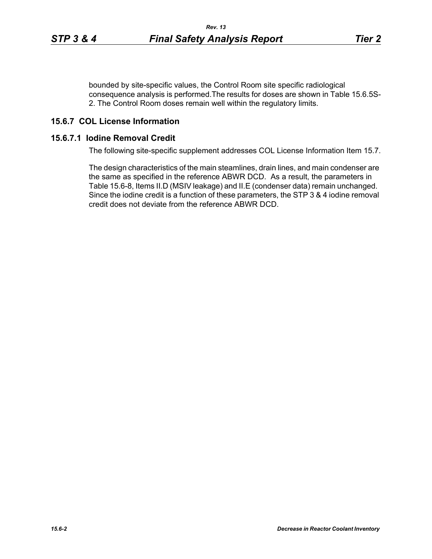bounded by site-specific values, the Control Room site specific radiological consequence analysis is performed.The results for doses are shown in Table 15.6.5S-2. The Control Room doses remain well within the regulatory limits.

# **15.6.7 COL License Information**

## **15.6.7.1 Iodine Removal Credit**

The following site-specific supplement addresses COL License Information Item 15.7.

The design characteristics of the main steamlines, drain lines, and main condenser are the same as specified in the reference ABWR DCD. As a result, the parameters in Table 15.6-8, Items II.D (MSIV leakage) and II.E (condenser data) remain unchanged. Since the iodine credit is a function of these parameters, the STP 3 & 4 iodine removal credit does not deviate from the reference ABWR DCD.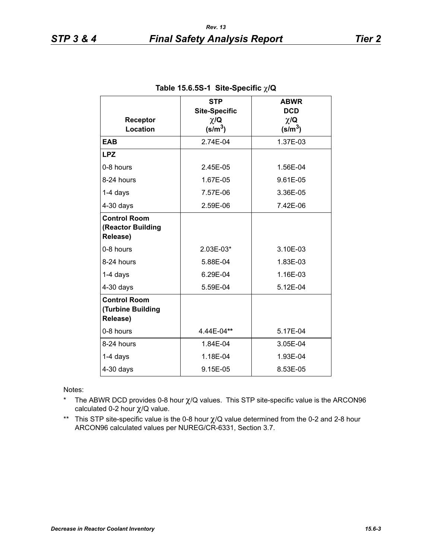| Receptor<br>Location                                 | <b>STP</b><br><b>Site-Specific</b><br>$\chi/\mathbf{Q}$<br>(s/m <sup>3</sup> ) | <b>ABWR</b><br><b>DCD</b><br>$\chi/\mathbf{Q}$<br>$(s/m^3)$ |  |
|------------------------------------------------------|--------------------------------------------------------------------------------|-------------------------------------------------------------|--|
| <b>EAB</b>                                           | 2.74E-04                                                                       | 1.37E-03                                                    |  |
| <b>LPZ</b>                                           |                                                                                |                                                             |  |
| 0-8 hours                                            | 2.45E-05                                                                       | 1.56E-04                                                    |  |
| 8-24 hours                                           | 1.67E-05                                                                       | 9.61E-05                                                    |  |
| $1-4$ days                                           | 7.57E-06                                                                       | 3.36E-05                                                    |  |
| $4-30$ days                                          | 2.59E-06                                                                       | 7.42E-06                                                    |  |
| <b>Control Room</b><br>(Reactor Building<br>Release) |                                                                                |                                                             |  |
| 0-8 hours                                            | 2.03E-03*                                                                      | 3.10E-03                                                    |  |
| 8-24 hours                                           | 5.88E-04                                                                       | 1.83E-03                                                    |  |
| $1-4$ days                                           | 6.29E-04                                                                       | 1.16E-03                                                    |  |
| $4-30$ days                                          | 5.59E-04                                                                       | 5.12E-04                                                    |  |
| <b>Control Room</b><br>(Turbine Building<br>Release) |                                                                                |                                                             |  |
| 0-8 hours                                            | 4.44E-04**                                                                     | 5.17E-04                                                    |  |
| 8-24 hours                                           | 1.84E-04                                                                       | 3.05E-04                                                    |  |
| $1-4$ days                                           | 1.18E-04                                                                       | 1.93E-04                                                    |  |
| $4-30$ days                                          | 9.15E-05                                                                       | 8.53E-05                                                    |  |

Notes:

- \* The ABWR DCD provides 0-8 hour  $\chi$ /Q values. This STP site-specific value is the ARCON96 calculated 0-2 hour χ/Q value.
- \*\* This STP site-specific value is the 0-8 hour χ/Q value determined from the 0-2 and 2-8 hour ARCON96 calculated values per NUREG/CR-6331, Section 3.7.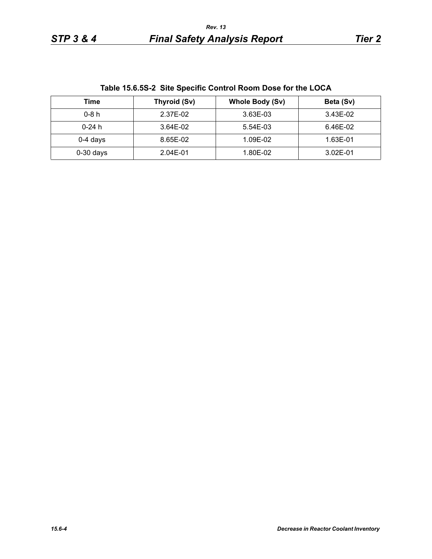| TODIO TO.O.OO Z OILO OPOUHIO OOHN OF ROOHI DOSO TOF LIIO EOOA |              |                        |           |  |
|---------------------------------------------------------------|--------------|------------------------|-----------|--|
| Time                                                          | Thyroid (Sv) | <b>Whole Body (Sv)</b> | Beta (Sv) |  |
| $0-8h$                                                        | 2.37E-02     | 3.63E-03               | 3.43E-02  |  |
| $0-24 h$                                                      | 3.64E-02     | 5.54E-03               | 6.46E-02  |  |
| $0-4$ days                                                    | 8.65E-02     | 1.09E-02               | 1.63E-01  |  |
| $0-30$ days                                                   | 2.04E-01     | 1.80E-02               | 3.02E-01  |  |

**Table 15.6.5S-2 Site Specific Control Room Dose for the LOCA**